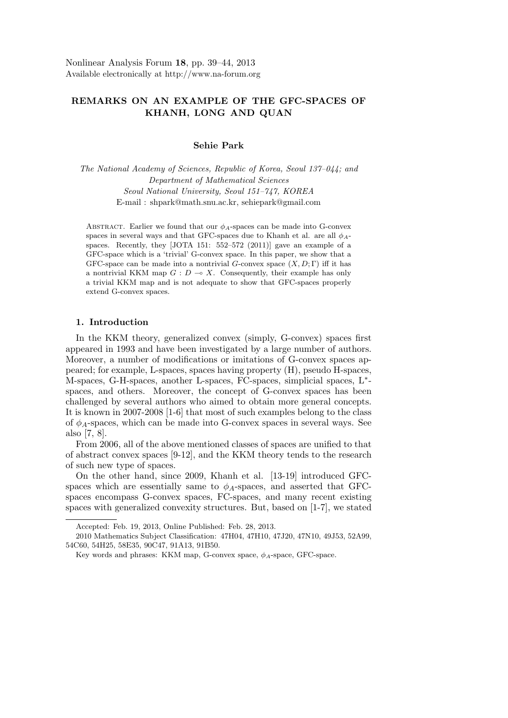# **REMARKS ON AN EXAMPLE OF THE GFC-SPACES OF KHANH, LONG AND QUAN**

## **Sehie Park**

*The National Academy of Sciences, Republic of Korea, Seoul 137–044; and Department of Mathematical Sciences Seoul National University, Seoul 151–747, KOREA* E-mail : shpark@math.snu.ac.kr, sehiepark@gmail.com

ABSTRACT. Earlier we found that our  $\phi_A$ -spaces can be made into G-convex spaces in several ways and that GFC-spaces due to Khanh et al. are all  $\phi_{A}$ spaces. Recently, they [JOTA 151: 552–572 (2011)] gave an example of a GFC-space which is a 'trivial' G-convex space. In this paper, we show that a GFC-space can be made into a nontrivial *G*-convex space  $(X, D; \Gamma)$  iff it has a nontrivial KKM map  $G: D \to X$ . Consequently, their example has only a trivial KKM map and is not adequate to show that GFC-spaces properly extend G-convex spaces.

### **1. Introduction**

In the KKM theory, generalized convex (simply, G-convex) spaces first appeared in 1993 and have been investigated by a large number of authors. Moreover, a number of modifications or imitations of G-convex spaces appeared; for example, L-spaces, spaces having property (H), pseudo H-spaces, M-spaces, G-H-spaces, another L-spaces, FC-spaces, simplicial spaces, L*∗* spaces, and others. Moreover, the concept of G-convex spaces has been challenged by several authors who aimed to obtain more general concepts. It is known in 2007-2008 [1-6] that most of such examples belong to the class of  $\phi_A$ -spaces, which can be made into G-convex spaces in several ways. See also [7, 8].

From 2006, all of the above mentioned classes of spaces are unified to that of abstract convex spaces [9-12], and the KKM theory tends to the research of such new type of spaces.

On the other hand, since 2009, Khanh et al. [13-19] introduced GFCspaces which are essentially same to  $\phi_A$ -spaces, and asserted that GFCspaces encompass G-convex spaces, FC-spaces, and many recent existing spaces with generalized convexity structures. But, based on [1-7], we stated

Accepted: Feb. 19, 2013, Online Published: Feb. 28, 2013.

<sup>2010</sup> Mathematics Subject Classification: 47H04, 47H10, 47J20, 47N10, 49J53, 52A99, 54C60, 54H25, 58E35, 90C47, 91A13, 91B50.

Key words and phrases: KKM map, G-convex space, *ϕA*-space, GFC-space.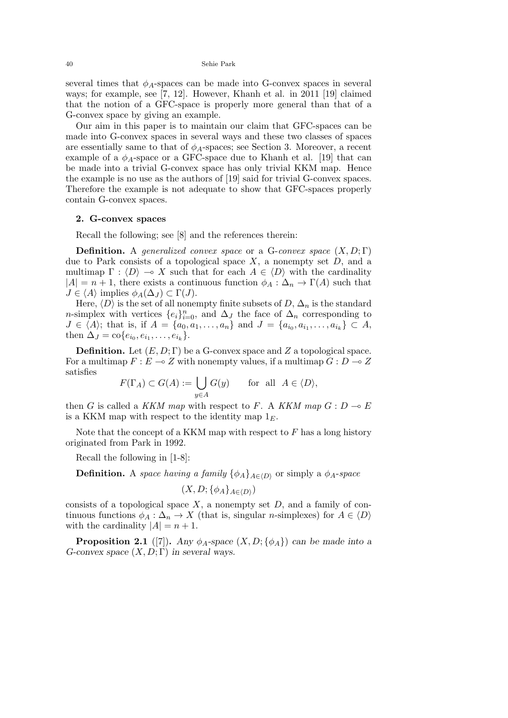40 Sehie Park

several times that  $\phi_A$ -spaces can be made into G-convex spaces in several ways; for example, see [7, 12]. However, Khanh et al. in 2011 [19] claimed that the notion of a GFC-space is properly more general than that of a G-convex space by giving an example.

Our aim in this paper is to maintain our claim that GFC-spaces can be made into G-convex spaces in several ways and these two classes of spaces are essentially same to that of  $\phi_A$ -spaces; see Section 3. Moreover, a recent example of a  $\phi_A$ -space or a GFC-space due to Khanh et al. [19] that can be made into a trivial G-convex space has only trivial KKM map. Hence the example is no use as the authors of [19] said for trivial G-convex spaces. Therefore the example is not adequate to show that GFC-spaces properly contain G-convex spaces.

#### **2. G-convex spaces**

Recall the following; see [8] and the references therein:

**Definition.** A *generalized convex space* or a G-*convex space* (*X, D*; Γ) due to Park consists of a topological space *X*, a nonempty set *D*, and a multimap  $\Gamma : \langle D \rangle \to X$  such that for each  $A \in \langle D \rangle$  with the cardinality  $|A| = n + 1$ , there exists a continuous function  $\phi_A : \Delta_n \to \Gamma(A)$  such that  $J \in \langle A \rangle$  implies  $\phi_A(\Delta_J) \subset \Gamma(J)$ .

Here,  $\langle D \rangle$  is the set of all nonempty finite subsets of  $D$ ,  $\Delta_n$  is the standard *n*-simplex with vertices  $\{e_i\}_{i=0}^n$ , and  $\Delta_J$  the face of  $\Delta_n$  corresponding to  $J \in \langle A \rangle$ ; that is, if  $A = \{a_0, a_1, \ldots, a_n\}$  and  $J = \{a_{i_0}, a_{i_1}, \ldots, a_{i_k}\} \subset A$ , then  $\Delta_J = \text{co}\{e_{i_0}, e_{i_1}, \dots, e_{i_k}\}.$ 

**Definition.** Let  $(E, D; \Gamma)$  be a G-convex space and Z a topological space. For a multimap  $F: E \to Z$  with nonempty values, if a multimap  $G: D \to Z$ satisfies

$$
F(\Gamma_A) \subset G(A) := \bigcup_{y \in A} G(y) \quad \text{for all } A \in \langle D \rangle,
$$

then *G* is called a *KKM map* with respect to *F*. A *KKM map*  $G: D \to E$ is a KKM map with respect to the identity map  $1<sub>E</sub>$ .

Note that the concept of a KKM map with respect to *F* has a long history originated from Park in 1992.

Recall the following in [1-8]:

**Definition.** A *space having a family*  $\{\phi_A\}_{A \in (D)}$  or simply a  $\phi_A$ -*space* 

$$
(X, D; \{\phi_A\}_{A \in \langle D \rangle})
$$

consists of a topological space *X*, a nonempty set *D*, and a family of continuous functions  $\phi_A : \Delta_n \to X$  (that is, singular *n*-simplexes) for  $A \in \langle D \rangle$ with the cardinality  $|A| = n + 1$ .

**Proposition 2.1** ([7]). *Any*  $\phi_A$ -space  $(X, D; {\phi_A})$  *can be made into a G-convex space* (*X, D*; Γ) *in several ways.*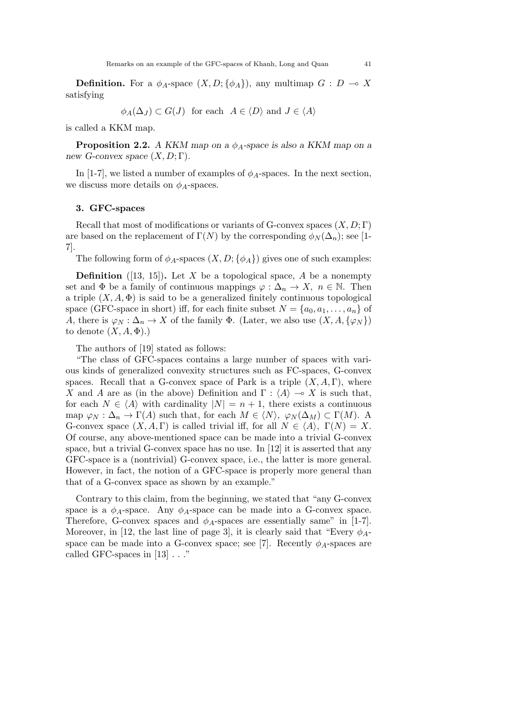**Definition.** For a  $\phi_A$ -space  $(X, D; {\phi_A})$ , any multimap  $G: D \to X$ satisfying

$$
\phi_A(\Delta_J) \subset G(J)
$$
 for each  $A \in \langle D \rangle$  and  $J \in \langle A \rangle$ 

is called a KKM map.

**Proposition 2.2.** *A KKM map on a ϕA-space is also a KKM map on a new G-convex space* (*X, D*; Γ)*.*

In [1-7], we listed a number of examples of  $\phi_A$ -spaces. In the next section, we discuss more details on  $\phi_A$ -spaces.

#### **3. GFC-spaces**

Recall that most of modifications or variants of G-convex spaces (*X, D*; Γ) are based on the replacement of  $\Gamma(N)$  by the corresponding  $\phi_N(\Delta_n)$ ; see [1-7].

The following form of  $\phi_A$ -spaces  $(X, D; {\phi_A})$  gives one of such examples:

**Definition** ([13, 15]). Let *X* be a topological space, *A* be a nonempty set and  $\Phi$  be a family of continuous mappings  $\varphi : \Delta_n \to X$ ,  $n \in \mathbb{N}$ . Then a triple  $(X, A, \Phi)$  is said to be a generalized finitely continuous topological space (GFC-space in short) iff, for each finite subset  $N = \{a_0, a_1, \ldots, a_n\}$  of *A*, there is  $\varphi_N : \Delta_n \to X$  of the family  $\Phi$ . (Later, we also use  $(X, A, \{\varphi_N\})$ ) to denote  $(X, A, \Phi)$ .)

The authors of [19] stated as follows:

"The class of GFC-spaces contains a large number of spaces with various kinds of generalized convexity structures such as FC-spaces, G-convex spaces. Recall that a G-convex space of Park is a triple  $(X, A, \Gamma)$ , where *X* and *A* are as (in the above) Definition and  $\Gamma$  :  $\langle A \rangle \rightarrow X$  is such that, for each  $N \in \langle A \rangle$  with cardinality  $|N| = n + 1$ , there exists a continuous map  $\varphi_N : \Delta_n \to \Gamma(A)$  such that, for each  $M \in \langle N \rangle$ ,  $\varphi_N(\Delta_M) \subset \Gamma(M)$ . A G-convex space  $(X, A, \Gamma)$  is called trivial iff, for all  $N \in \langle A \rangle$ ,  $\Gamma(N) = X$ . Of course, any above-mentioned space can be made into a trivial G-convex space, but a trivial G-convex space has no use. In [12] it is asserted that any GFC-space is a (nontrivial) G-convex space, i.e., the latter is more general. However, in fact, the notion of a GFC-space is properly more general than that of a G-convex space as shown by an example."

Contrary to this claim, from the beginning, we stated that "any G-convex space is a  $\phi_A$ -space. Any  $\phi_A$ -space can be made into a G-convex space. Therefore, G-convex spaces and  $\phi_A$ -spaces are essentially same" in [1-7]. Moreover, in [12, the last line of page 3], it is clearly said that "Every  $\phi_{A}$ space can be made into a G-convex space; see [7]. Recently  $\phi_A$ -spaces are called GFC-spaces in [13] . . ."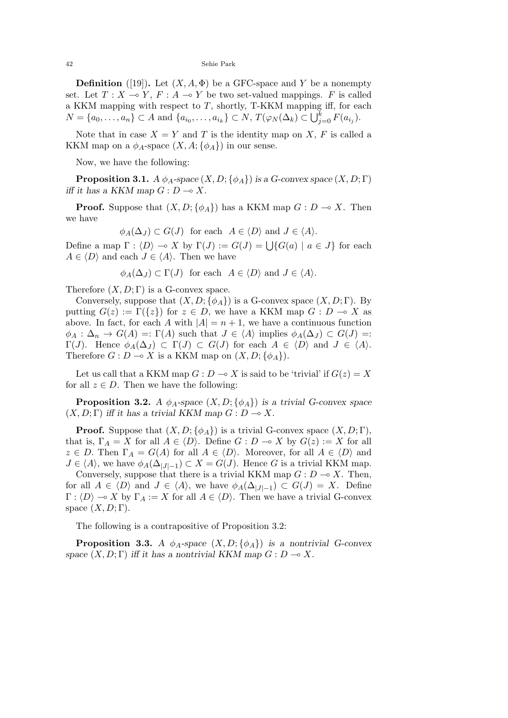42 Sehie Park

**Definition** ([19]). Let  $(X, A, \Phi)$  be a GFC-space and *Y* be a nonempty set. Let  $T: X \to Y$ ,  $F: A \to Y$  be two set-valued mappings. *F* is called a KKM mapping with respect to *T*, shortly, T-KKM mapping iff, for each  $N = \{a_0, ..., a_n\} \subset A$  and  $\{a_{i_0}, ..., a_{i_k}\} \subset N$ ,  $T(\varphi_N(\Delta_k) \subset \bigcup_{j=0}^k F(a_{i_j}).$ 

Note that in case  $X = Y$  and *T* is the identity map on *X*, *F* is called a KKM map on a  $\phi_A$ -space  $(X, A; {\phi_A})$  in our sense.

Now, we have the following:

**Proposition 3.1.**  $A \phi_A$ -space  $(X, D; \{\phi_A\})$  is a G-convex space  $(X, D; \Gamma)$ *iff it has a KKM map*  $G: D \to X$ .

**Proof.** Suppose that  $(X, D; \{\phi_A\})$  has a KKM map  $G: D \to X$ . Then we have

 $\phi_A(\Delta_J) \subset G(J)$  for each  $A \in \langle D \rangle$  and  $J \in \langle A \rangle$ .

Define a map  $\Gamma : \langle D \rangle \to X$  by  $\Gamma(J) := G(J) = \bigcup \{ G(a) \mid a \in J \}$  for each  $A \in \langle D \rangle$  and each  $J \in \langle A \rangle$ . Then we have

$$
\phi_A(\Delta_J) \subset \Gamma(J)
$$
 for each  $A \in \langle D \rangle$  and  $J \in \langle A \rangle$ .

Therefore  $(X, D; \Gamma)$  is a G-convex space.

Conversely, suppose that  $(X, D; {\phi_A})$  is a G-convex space  $(X, D; \Gamma)$ . By putting  $G(z) := \Gamma({z})$  for  $z \in D$ , we have a KKM map  $G : D \to X$  as above. In fact, for each *A* with  $|A| = n + 1$ , we have a continuous function  $\phi_A : \Delta_n \to G(A) =: \Gamma(A)$  such that  $J \in \langle A \rangle$  implies  $\phi_A(\Delta_J) \subset G(J) =:$  $\Gamma(J)$ . Hence  $\phi_A(\Delta_J) \subset \Gamma(J) \subset G(J)$  for each  $A \in \langle D \rangle$  and  $J \in \langle A \rangle$ . Therefore  $G: D \to X$  is a KKM map on  $(X, D; {\phi_A})$ .

Let us call that a KKM map  $G: D \to X$  is said to be 'trivial' if  $G(z) = X$ for all  $z \in D$ . Then we have the following:

**Proposition 3.2.** *A*  $\phi_A$ -space  $(X, D; {\phi_A})$  *is a trivial G-convex space*  $(X, D; \Gamma)$  *iff it has a trivial KKM map*  $G: D \to X$ *.* 

**Proof.** Suppose that  $(X, D; {\phi_A})$  is a trivial G-convex space  $(X, D; \Gamma)$ , that is,  $\Gamma_A = X$  for all  $A \in \langle D \rangle$ . Define  $G: D \to X$  by  $G(z) := X$  for all  $z \in D$ . Then  $\Gamma_A = G(A)$  for all  $A \in \langle D \rangle$ . Moreover, for all  $A \in \langle D \rangle$  and  $J \in \langle A \rangle$ , we have  $\phi_A(\Delta_{|J|-1}) \subset X = G(J)$ . Hence *G* is a trivial KKM map.

Conversely, suppose that there is a trivial KKM map  $G: D \to X$ . Then, for all  $A \in \langle D \rangle$  and  $J \in \langle A \rangle$ , we have  $\phi_A(\Delta_{|J|-1}) \subset G(J) = X$ . Define  $\Gamma : \langle D \rangle \longrightarrow X$  by  $\Gamma_A := X$  for all  $A \in \langle D \rangle$ . Then we have a trivial G-convex space  $(X, D; \Gamma)$ .

The following is a contrapositive of Proposition 3.2:

**Proposition 3.3.** *A*  $\phi_A$ -space  $(X, D; {\phi_A})$  *is a nontrivial G-convex space*  $(X, D; \Gamma)$  *iff it has a nontrivial KKM map*  $G: D \to X$ *.*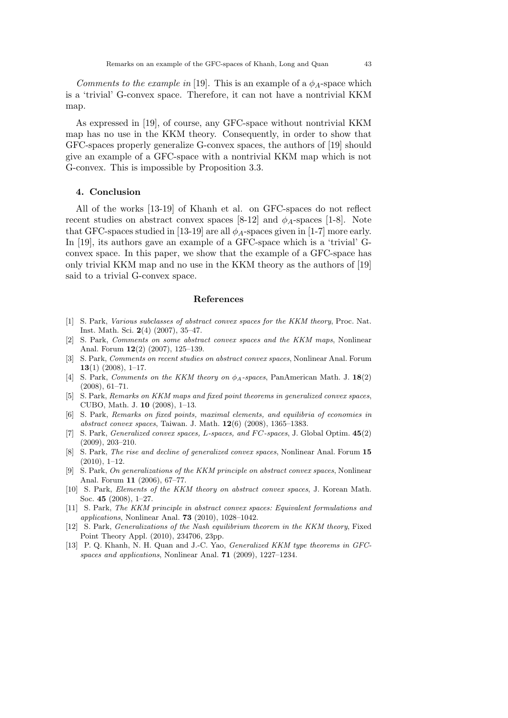*Comments to the example in* [19]. This is an example of a  $\phi_A$ -space which is a 'trivial' G-convex space. Therefore, it can not have a nontrivial KKM map.

As expressed in [19], of course, any GFC-space without nontrivial KKM map has no use in the KKM theory. Consequently, in order to show that GFC-spaces properly generalize G-convex spaces, the authors of [19] should give an example of a GFC-space with a nontrivial KKM map which is not G-convex. This is impossible by Proposition 3.3.

### **4. Conclusion**

All of the works [13-19] of Khanh et al. on GFC-spaces do not reflect recent studies on abstract convex spaces  $[8-12]$  and  $\phi_A$ -spaces  $[1-8]$ . Note that GFC-spaces studied in [13-19] are all  $\phi_A$ -spaces given in [1-7] more early. In [19], its authors gave an example of a GFC-space which is a 'trivial' Gconvex space. In this paper, we show that the example of a GFC-space has only trivial KKM map and no use in the KKM theory as the authors of [19] said to a trivial G-convex space.

#### **References**

- [1] S. Park, *Various subclasses of abstract convex spaces for the KKM theory*, Proc. Nat. Inst. Math. Sci. **2**(4) (2007), 35–47.
- [2] S. Park, *Comments on some abstract convex spaces and the KKM maps*, Nonlinear Anal. Forum **12**(2) (2007), 125–139.
- [3] S. Park, *Comments on recent studies on abstract convex spaces*, Nonlinear Anal. Forum **13**(1) (2008), 1–17.
- [4] S. Park, *Comments on the KKM theory on ϕA-spaces*, PanAmerican Math. J. **18**(2) (2008), 61–71.
- [5] S. Park, *Remarks on KKM maps and fixed point theorems in generalized convex spaces*, CUBO, Math. J. **10** (2008), 1–13.
- [6] S. Park, *Remarks on fixed points, maximal elements, and equilibria of economies in abstract convex spaces*, Taiwan. J. Math. **12**(6) (2008), 1365–1383.
- [7] S. Park, *Generalized convex spaces, L-spaces, and F C-spaces*, J. Global Optim. **45**(2) (2009), 203–210.
- [8] S. Park, *The rise and decline of generalized convex spaces*, Nonlinear Anal. Forum **15** (2010), 1–12.
- [9] S. Park, *On generalizations of the KKM principle on abstract convex spaces*, Nonlinear Anal. Forum **11** (2006), 67–77.
- [10] S. Park, *Elements of the KKM theory on abstract convex spaces*, J. Korean Math. Soc. **45** (2008), 1–27.
- [11] S. Park, *The KKM principle in abstract convex spaces: Equivalent formulations and applications*, Nonlinear Anal. **73** (2010), 1028–1042.
- [12] S. Park, *Generalizations of the Nash equilibrium theorem in the KKM theory*, Fixed Point Theory Appl. (2010), 234706, 23pp.
- [13] P. Q. Khanh, N. H. Quan and J.-C. Yao, *Generalized KKM type theorems in GFCspaces and applications*, Nonlinear Anal. **71** (2009), 1227–1234.